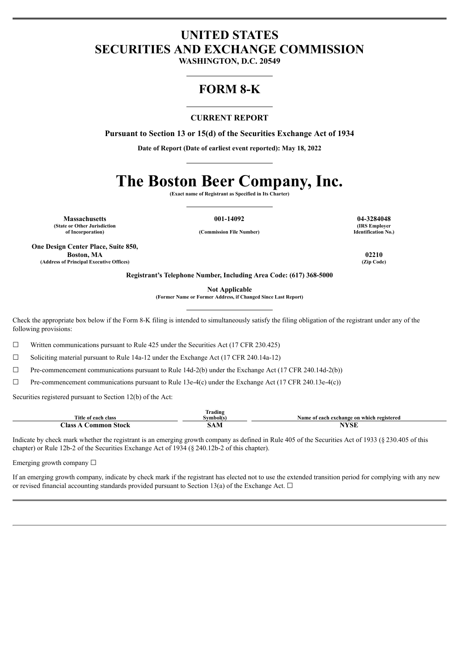## **UNITED STATES SECURITIES AND EXCHANGE COMMISSION**

**WASHINGTON, D.C. 20549**

## **FORM 8-K**

### **CURRENT REPORT**

**Pursuant to Section 13 or 15(d) of the Securities Exchange Act of 1934**

**Date of Report (Date of earliest event reported): May 18, 2022**

# **The Boston Beer Company, Inc.**

**(Exact name of Registrant as Specified in Its Charter)**

**Massachusetts 001-14092 04-3284048 (State or Other Jurisdiction**

**of Incorporation) (Commission File Number)**

**One Design Center Place, Suite 850, Boston, MA 02210 (Address of Principal Executive Offices) (Zip Code)**

**(IRS Employer Identification No.)**

**Registrant's Telephone Number, Including Area Code: (617) 368-5000**

**Not Applicable**

**(Former Name or Former Address, if Changed Since Last Report)**

Check the appropriate box below if the Form 8-K filing is intended to simultaneously satisfy the filing obligation of the registrant under any of the following provisions:

 $\Box$  Written communications pursuant to Rule 425 under the Securities Act (17 CFR 230.425)

☐ Soliciting material pursuant to Rule 14a-12 under the Exchange Act (17 CFR 240.14a-12)

 $\Box$  Pre-commencement communications pursuant to Rule 14d-2(b) under the Exchange Act (17 CFR 240.14d-2(b))

 $\Box$  Pre-commencement communications pursuant to Rule 13e-4(c) under the Exchange Act (17 CFR 240.13e-4(c))

Securities registered pursuant to Section 12(b) of the Act:

|                                   | <b>Trading</b> |                                           |
|-----------------------------------|----------------|-------------------------------------------|
| Title of each class               | svmbol(s)      | Name of each exchange on which registered |
| --<br>Aass<br>Stock<br>.om<br>non | SAN            | $\mathbf{v}$                              |

Indicate by check mark whether the registrant is an emerging growth company as defined in Rule 405 of the Securities Act of 1933 (§ 230.405 of this chapter) or Rule 12b-2 of the Securities Exchange Act of 1934 (§ 240.12b-2 of this chapter).

Emerging growth company □

If an emerging growth company, indicate by check mark if the registrant has elected not to use the extended transition period for complying with any new or revised financial accounting standards provided pursuant to Section 13(a) of the Exchange Act.  $\Box$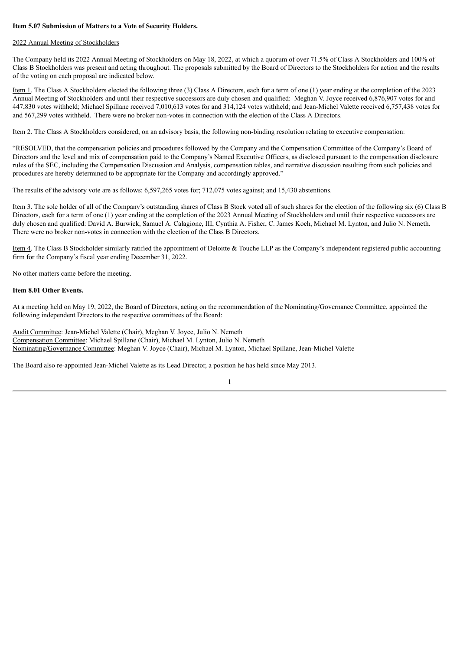#### **Item 5.07 Submission of Matters to a Vote of Security Holders.**

#### 2022 Annual Meeting of Stockholders

The Company held its 2022 Annual Meeting of Stockholders on May 18, 2022, at which a quorum of over 71.5% of Class A Stockholders and 100% of Class B Stockholders was present and acting throughout. The proposals submitted by the Board of Directors to the Stockholders for action and the results of the voting on each proposal are indicated below.

Item 1. The Class A Stockholders elected the following three (3) Class A Directors, each for a term of one (1) year ending at the completion of the 2023 Annual Meeting of Stockholders and until their respective successors are duly chosen and qualified: Meghan V. Joyce received 6,876,907 votes for and 447,830 votes withheld; Michael Spillane received 7,010,613 votes for and 314,124 votes withheld; and Jean-Michel Valette received 6,757,438 votes for and 567,299 votes withheld. There were no broker non-votes in connection with the election of the Class A Directors.

Item 2. The Class A Stockholders considered, on an advisory basis, the following non-binding resolution relating to executive compensation:

"RESOLVED, that the compensation policies and procedures followed by the Company and the Compensation Committee of the Company's Board of Directors and the level and mix of compensation paid to the Company's Named Executive Officers, as disclosed pursuant to the compensation disclosure rules of the SEC, including the Compensation Discussion and Analysis, compensation tables, and narrative discussion resulting from such policies and procedures are hereby determined to be appropriate for the Company and accordingly approved."

The results of the advisory vote are as follows: 6,597,265 votes for; 712,075 votes against; and 15,430 abstentions.

Item 3. The sole holder of all of the Company's outstanding shares of Class B Stock voted all of such shares for the election of the following six (6) Class B Directors, each for a term of one (1) year ending at the completion of the 2023 Annual Meeting of Stockholders and until their respective successors are duly chosen and qualified: David A. Burwick, Samuel A. Calagione, III, Cynthia A. Fisher, C. James Koch, Michael M. Lynton, and Julio N. Nemeth. There were no broker non-votes in connection with the election of the Class B Directors.

Item 4. The Class B Stockholder similarly ratified the appointment of Deloitte & Touche LLP as the Company's independent registered public accounting firm for the Company's fiscal year ending December 31, 2022.

No other matters came before the meeting.

#### **Item 8.01 Other Events.**

At a meeting held on May 19, 2022, the Board of Directors, acting on the recommendation of the Nominating/Governance Committee, appointed the following independent Directors to the respective committees of the Board:

Audit Committee: Jean-Michel Valette (Chair), Meghan V. Joyce, Julio N. Nemeth Compensation Committee: Michael Spillane (Chair), Michael M. Lynton, Julio N. Nemeth Nominating/Governance Committee: Meghan V. Joyce (Chair), Michael M. Lynton, Michael Spillane, Jean-Michel Valette

The Board also re-appointed Jean-Michel Valette as its Lead Director, a position he has held since May 2013.

#### 1